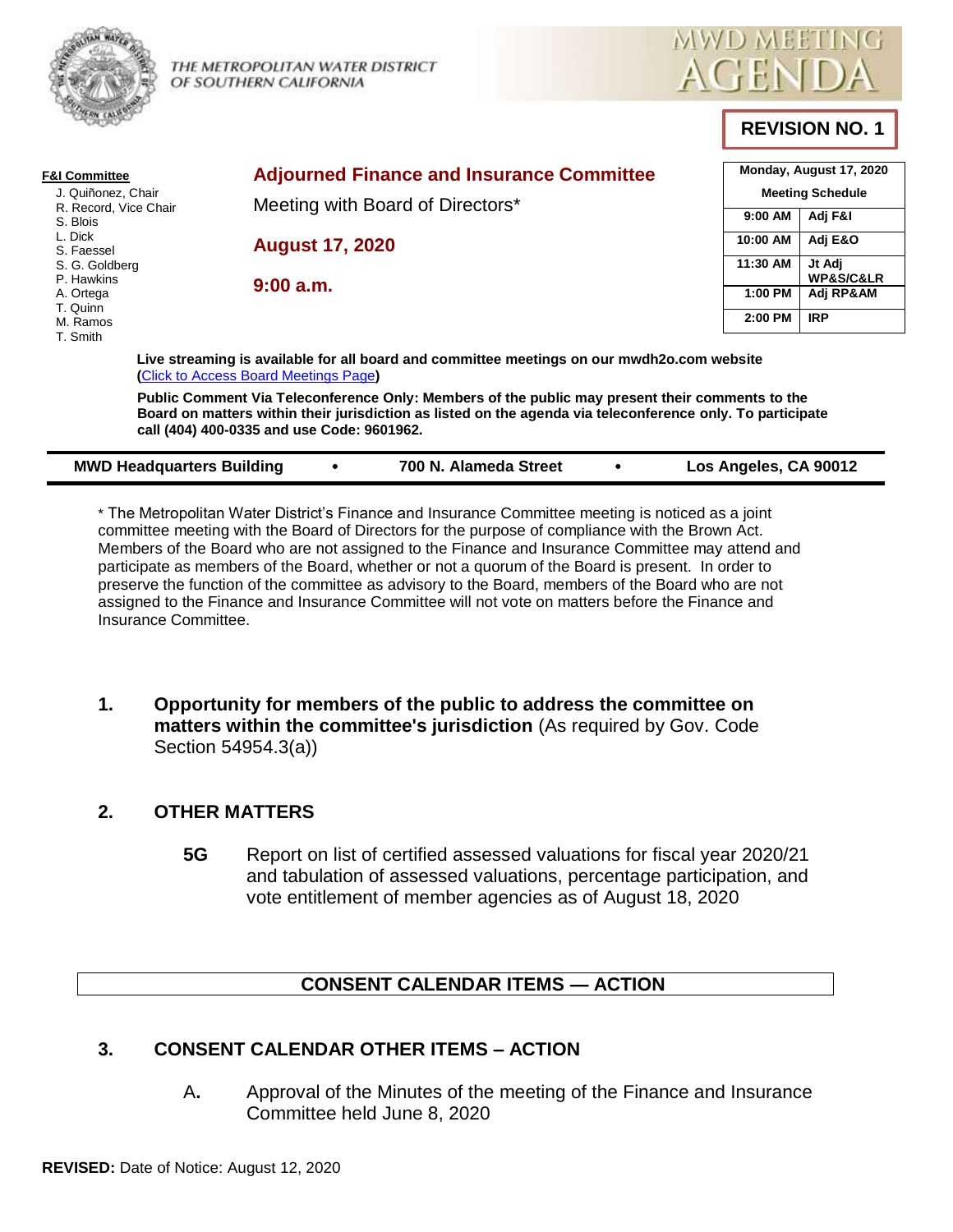

THE METROPOLITAN WATER DISTRICT OF SOUTHERN CALIFORNIA



# **REVISION NO. 1**

| <b>F&amp;I Committee</b><br>J. Quiñonez, Chair<br>R. Record, Vice Chair<br>S. Blois<br>L. Dick<br>S. Faessel<br>S. G. Goldberg<br>P. Hawkins<br>A. Ortega | <b>Adjourned Finance and Insurance Committee</b>                                                                                                                                                                                                            |                       | Monday, August 17, 2020            |  |
|-----------------------------------------------------------------------------------------------------------------------------------------------------------|-------------------------------------------------------------------------------------------------------------------------------------------------------------------------------------------------------------------------------------------------------------|-----------------------|------------------------------------|--|
|                                                                                                                                                           | Meeting with Board of Directors*                                                                                                                                                                                                                            |                       | <b>Meeting Schedule</b>            |  |
|                                                                                                                                                           |                                                                                                                                                                                                                                                             | 9:00 AM               | Adj F&I                            |  |
|                                                                                                                                                           | <b>August 17, 2020</b>                                                                                                                                                                                                                                      | 10:00 AM              | Adj E&O                            |  |
|                                                                                                                                                           | 9:00a.m.                                                                                                                                                                                                                                                    | 11:30 AM              | Jt Adj<br><b>WP&amp;S/C&amp;LR</b> |  |
|                                                                                                                                                           |                                                                                                                                                                                                                                                             | 1:00 PM               | Adj RP&AM                          |  |
| T. Quinn<br>M. Ramos                                                                                                                                      |                                                                                                                                                                                                                                                             | 2:00 PM               | <b>IRP</b>                         |  |
| T. Smith                                                                                                                                                  | Live streaming is available for all board and committee meetings on our mwdh2o.com website<br>(Click to Access Board Meetings Page)                                                                                                                         |                       |                                    |  |
|                                                                                                                                                           | Public Comment Via Teleconference Only: Members of the public may present their comments to the<br>Board on matters within their jurisdiction as listed on the agenda via teleconference only. To participate<br>call (404) 400-0335 and use Code: 9601962. |                       |                                    |  |
| <b>MWD Headquarters Building</b>                                                                                                                          | 700 N. Alameda Street<br>٠                                                                                                                                                                                                                                  | Los Angeles, CA 90012 |                                    |  |

\* The Metropolitan Water District's Finance and Insurance Committee meeting is noticed as a joint committee meeting with the Board of Directors for the purpose of compliance with the Brown Act. Members of the Board who are not assigned to the Finance and Insurance Committee may attend and participate as members of the Board, whether or not a quorum of the Board is present. In order to preserve the function of the committee as advisory to the Board, members of the Board who are not assigned to the Finance and Insurance Committee will not vote on matters before the Finance and Insurance Committee.

**1. Opportunity for members of the public to address the committee on matters within the committee's jurisdiction** (As required by Gov. Code Section 54954.3(a))

# **2. OTHER MATTERS**

**5G** Report on list of certified assessed valuations for fiscal year 2020/21 and tabulation of assessed valuations, percentage participation, and vote entitlement of member agencies as of August 18, 2020

# **CONSENT CALENDAR ITEMS — ACTION**

# **3. CONSENT CALENDAR OTHER ITEMS – ACTION**

A**.** Approval of the Minutes of the meeting of the Finance and Insurance Committee held June 8, 2020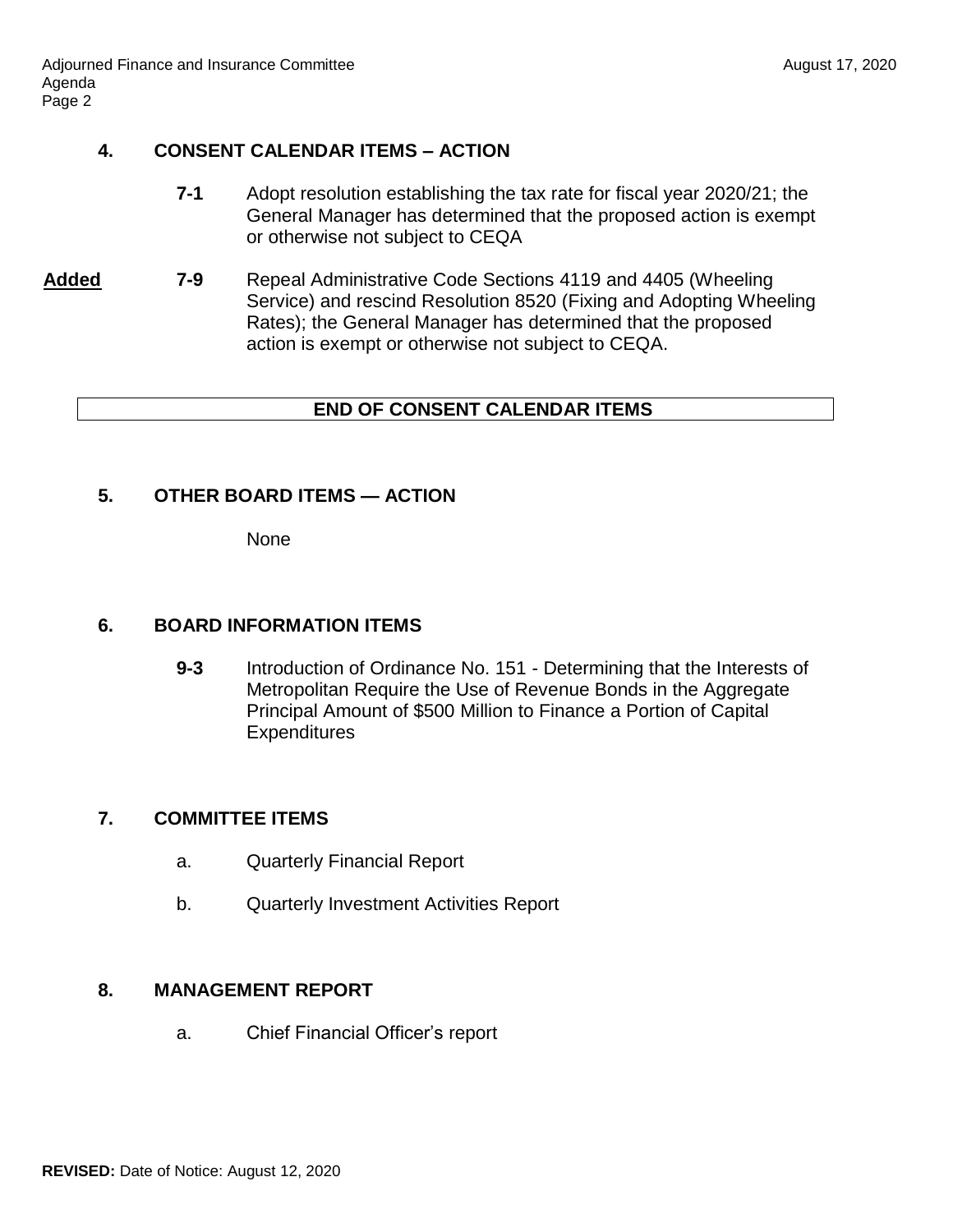## **4. CONSENT CALENDAR ITEMS – ACTION**

- **7-1** Adopt resolution establishing the tax rate for fiscal year 2020/21; the General Manager has determined that the proposed action is exempt or otherwise not subject to CEQA
- **Added 7-9** Repeal Administrative Code Sections 4119 and 4405 (Wheeling Service) and rescind Resolution 8520 (Fixing and Adopting Wheeling Rates); the General Manager has determined that the proposed action is exempt or otherwise not subject to CEQA.

### **END OF CONSENT CALENDAR ITEMS**

# **5. OTHER BOARD ITEMS — ACTION**

None

## **6. BOARD INFORMATION ITEMS**

**9-3** Introduction of Ordinance No. 151 - Determining that the Interests of Metropolitan Require the Use of Revenue Bonds in the Aggregate Principal Amount of \$500 Million to Finance a Portion of Capital **Expenditures** 

# **7. COMMITTEE ITEMS**

- a. Quarterly Financial Report
- b. Quarterly Investment Activities Report

### **8. MANAGEMENT REPORT**

a. Chief Financial Officer's report